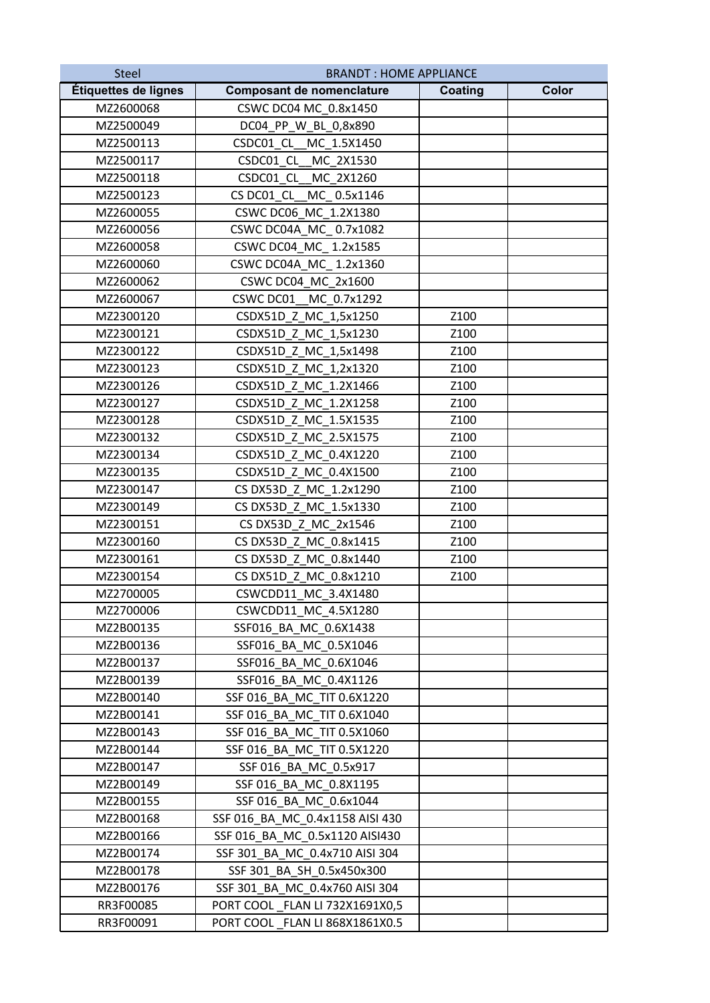| <b>Steel</b>         | <b>BRANDT: HOME APPLIANCE</b>    |                |       |
|----------------------|----------------------------------|----------------|-------|
| Étiquettes de lignes | <b>Composant de nomenclature</b> | <b>Coating</b> | Color |
| MZ2600068            | CSWC DC04 MC_0.8x1450            |                |       |
| MZ2500049            | DC04 PP W BL 0,8x890             |                |       |
| MZ2500113            | CSDC01 CL MC 1.5X1450            |                |       |
| MZ2500117            | CSDC01 CL MC 2X1530              |                |       |
| MZ2500118            | CSDC01_CL_MC_2X1260              |                |       |
| MZ2500123            | CS DC01 CL MC 0.5x1146           |                |       |
| MZ2600055            | CSWC DC06 MC 1.2X1380            |                |       |
| MZ2600056            | CSWC DC04A MC 0.7x1082           |                |       |
| MZ2600058            | CSWC DC04 MC 1.2x1585            |                |       |
| MZ2600060            | CSWC DC04A MC 1.2x1360           |                |       |
| MZ2600062            | CSWC DC04 MC 2x1600              |                |       |
| MZ2600067            | CSWC DC01 MC 0.7x1292            |                |       |
| MZ2300120            | CSDX51D Z MC 1,5x1250            | Z100           |       |
| MZ2300121            | CSDX51D Z MC 1,5x1230            | Z100           |       |
| MZ2300122            | CSDX51D_Z_MC_1,5x1498            | Z100           |       |
| MZ2300123            | CSDX51D_Z_MC_1,2x1320            | Z100           |       |
| MZ2300126            | CSDX51D Z MC 1.2X1466            | Z100           |       |
| MZ2300127            | CSDX51D Z MC 1.2X1258            | Z100           |       |
| MZ2300128            | CSDX51D_Z_MC_1.5X1535            | Z100           |       |
| MZ2300132            | CSDX51D_Z_MC_2.5X1575            | Z100           |       |
| MZ2300134            | CSDX51D_Z_MC_0.4X1220            | Z100           |       |
| MZ2300135            | CSDX51D Z MC 0.4X1500            | Z100           |       |
| MZ2300147            | CS DX53D_Z_MC_1.2x1290           | Z100           |       |
| MZ2300149            | CS DX53D_Z_MC_1.5x1330           | Z100           |       |
| MZ2300151            | CS DX53D Z MC 2x1546             | Z100           |       |
| MZ2300160            | CS DX53D Z MC 0.8x1415           | Z100           |       |
| MZ2300161            | CS DX53D Z MC 0.8x1440           | Z100           |       |
| MZ2300154            | CS DX51D_Z_MC_0.8x1210           | Z100           |       |
| MZ2700005            | CSWCDD11 MC 3.4X1480             |                |       |
| MZ2700006            | CSWCDD11_MC_4.5X1280             |                |       |
| MZ2B00135            | SSF016 BA MC 0.6X1438            |                |       |
| MZ2B00136            | SSF016_BA_MC_0.5X1046            |                |       |
| MZ2B00137            | SSF016 BA MC 0.6X1046            |                |       |
| MZ2B00139            | SSF016_BA_MC_0.4X1126            |                |       |
| MZ2B00140            | SSF 016 BA MC TIT 0.6X1220       |                |       |
| MZ2B00141            | SSF 016 BA MC TIT 0.6X1040       |                |       |
| MZ2B00143            | SSF 016 BA MC TIT 0.5X1060       |                |       |
| MZ2B00144            | SSF 016 BA MC TIT 0.5X1220       |                |       |
| MZ2B00147            | SSF 016 BA MC 0.5x917            |                |       |
| MZ2B00149            | SSF 016 BA MC 0.8X1195           |                |       |
| MZ2B00155            | SSF 016_BA_MC_0.6x1044           |                |       |
| MZ2B00168            | SSF 016 BA MC 0.4x1158 AISI 430  |                |       |
| MZ2B00166            | SSF 016 BA MC 0.5x1120 AISI430   |                |       |
| MZ2B00174            | SSF 301 BA MC 0.4x710 AISI 304   |                |       |
| MZ2B00178            | SSF 301 BA SH 0.5x450x300        |                |       |
| MZ2B00176            | SSF 301_BA_MC_0.4x760 AISI 304   |                |       |
| RR3F00085            | PORT COOL _FLAN LI 732X1691X0,5  |                |       |
| RR3F00091            | PORT COOL _FLAN LI 868X1861X0.5  |                |       |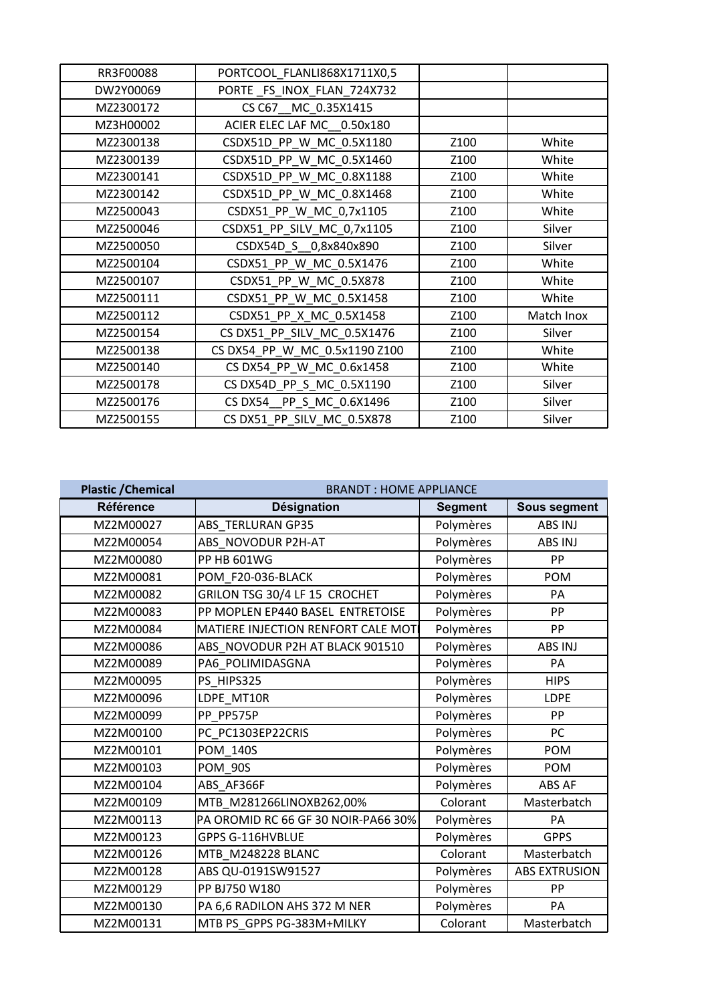| RR3F00088 | PORTCOOL_FLANLI868X1711X0,5   |      |            |
|-----------|-------------------------------|------|------------|
| DW2Y00069 | PORTE FS INOX FLAN 724X732    |      |            |
| MZ2300172 | CS C67_MC_0.35X1415           |      |            |
| MZ3H00002 | ACIER ELEC LAF MC 0.50x180    |      |            |
| MZ2300138 | CSDX51D PP W MC 0.5X1180      | Z100 | White      |
| MZ2300139 | CSDX51D PP W MC 0.5X1460      | Z100 | White      |
| MZ2300141 | CSDX51D PP W MC 0.8X1188      | Z100 | White      |
| MZ2300142 | CSDX51D_PP_W_MC_0.8X1468      | Z100 | White      |
| MZ2500043 | CSDX51_PP_W_MC_0,7x1105       | Z100 | White      |
| MZ2500046 | CSDX51 PP SILV MC 0,7x1105    | Z100 | Silver     |
| MZ2500050 | CSDX54D_S__0,8x840x890        | Z100 | Silver     |
| MZ2500104 | CSDX51_PP_W_MC_0.5X1476       | Z100 | White      |
| MZ2500107 | CSDX51_PP_W_MC_0.5X878        | Z100 | White      |
| MZ2500111 | CSDX51_PP_W_MC_0.5X1458       | Z100 | White      |
| MZ2500112 | CSDX51_PP_X_MC_0.5X1458       | Z100 | Match Inox |
| MZ2500154 | CS DX51_PP_SILV_MC_0.5X1476   | Z100 | Silver     |
| MZ2500138 | CS DX54_PP_W_MC_0.5x1190 Z100 | Z100 | White      |
| MZ2500140 | CS DX54_PP_W_MC_0.6x1458      | Z100 | White      |
| MZ2500178 | CS DX54D PP S MC 0.5X1190     | Z100 | Silver     |
| MZ2500176 | CS DX54 PP_S_MC_0.6X1496      | Z100 | Silver     |
| MZ2500155 | CS DX51_PP_SILV_MC_0.5X878    | Z100 | Silver     |

| <b>Plastic / Chemical</b> | <b>BRANDT: HOME APPLIANCE</b>       |                |                      |  |
|---------------------------|-------------------------------------|----------------|----------------------|--|
| <b>Référence</b>          | <b>Désignation</b>                  | <b>Segment</b> | <b>Sous segment</b>  |  |
| MZ2M00027                 | ABS_TERLURAN GP35                   | Polymères      | ABS INJ              |  |
| MZ2M00054                 | ABS NOVODUR P2H-AT                  | Polymères      | ABS INJ              |  |
| MZ2M00080                 | <b>PP HB 601WG</b>                  | Polymères      | PP                   |  |
| MZ2M00081                 | POM F20-036-BLACK                   | Polymères      | <b>POM</b>           |  |
| MZ2M00082                 | GRILON TSG 30/4 LF 15 CROCHET       | Polymères      | PA                   |  |
| MZ2M00083                 | PP MOPLEN EP440 BASEL ENTRETOISE    | Polymères      | PP                   |  |
| MZ2M00084                 | MATIERE INJECTION RENFORT CALE MOTI | Polymères      | PP                   |  |
| MZ2M00086                 | ABS_NOVODUR P2H AT BLACK 901510     | Polymères      | ABS INJ              |  |
| MZ2M00089                 | PA6 POLIMIDASGNA                    | Polymères      | PA                   |  |
| MZ2M00095                 | PS HIPS325                          | Polymères      | <b>HIPS</b>          |  |
| MZ2M00096                 | LDPE MT10R                          | Polymères      | LDPE                 |  |
| MZ2M00099                 | PP PP575P                           | Polymères      | PP                   |  |
| MZ2M00100                 | PC PC1303EP22CRIS                   | Polymères      | PC                   |  |
| MZ2M00101                 | <b>POM 140S</b>                     | Polymères      | <b>POM</b>           |  |
| MZ2M00103                 | <b>POM 90S</b>                      | Polymères      | <b>POM</b>           |  |
| MZ2M00104                 | ABS AF366F                          | Polymères      | ABS AF               |  |
| MZ2M00109                 | MTB_M281266LINOXB262,00%            | Colorant       | Masterbatch          |  |
| MZ2M00113                 | PA OROMID RC 66 GF 30 NOIR-PA66 30% | Polymères      | PA                   |  |
| MZ2M00123                 | GPPS G-116HVBLUE                    | Polymères      | <b>GPPS</b>          |  |
| MZ2M00126                 | MTB M248228 BLANC                   | Colorant       | Masterbatch          |  |
| MZ2M00128                 | ABS QU-0191SW91527                  | Polymères      | <b>ABS EXTRUSION</b> |  |
| MZ2M00129                 | PP BJ750 W180                       | Polymères      | PP                   |  |
| MZ2M00130                 | PA 6,6 RADILON AHS 372 M NER        | Polymères      | PA                   |  |
| MZ2M00131                 | MTB PS GPPS PG-383M+MILKY           | Colorant       | Masterbatch          |  |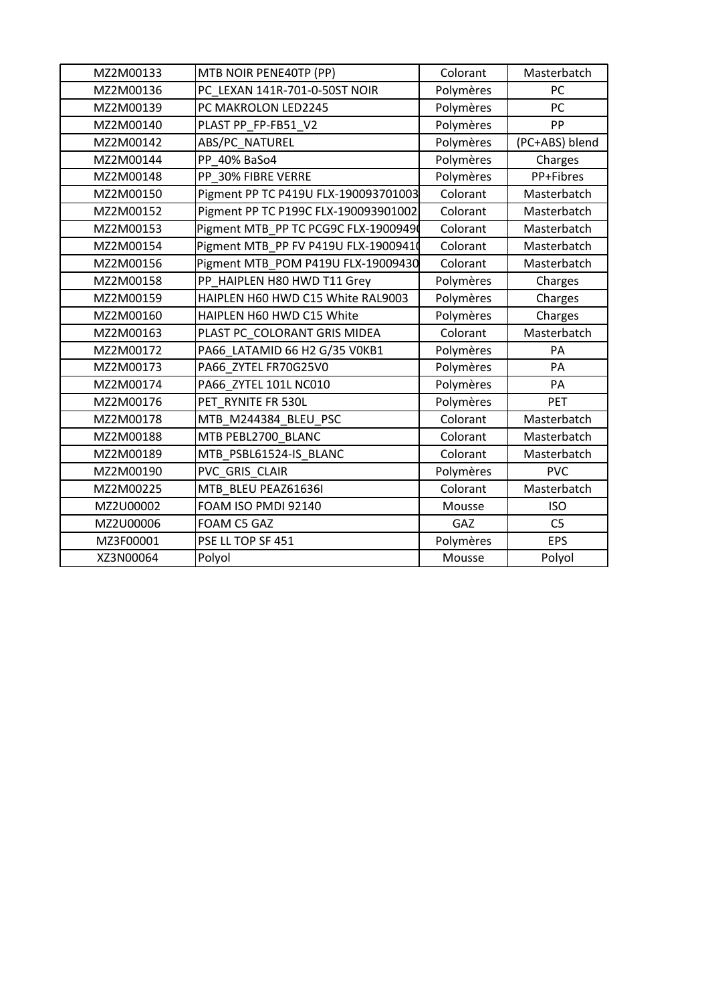| MZ2M00133 | MTB NOIR PENE40TP (PP)               | Colorant  | Masterbatch    |
|-----------|--------------------------------------|-----------|----------------|
| MZ2M00136 | PC LEXAN 141R-701-0-50ST NOIR        | Polymères | PC             |
| MZ2M00139 | PC MAKROLON LED2245                  | Polymères | PC             |
| MZ2M00140 | PLAST PP FP-FB51 V2                  | Polymères | PP             |
| MZ2M00142 | ABS/PC_NATUREL                       | Polymères | (PC+ABS) blend |
| MZ2M00144 | PP 40% BaSo4                         | Polymères | Charges        |
| MZ2M00148 | PP 30% FIBRE VERRE                   | Polymères | PP+Fibres      |
| MZ2M00150 | Pigment PP TC P419U FLX-190093701003 | Colorant  | Masterbatch    |
| MZ2M00152 | Pigment PP TC P199C FLX-190093901002 | Colorant  | Masterbatch    |
| MZ2M00153 | Pigment MTB_PP TC PCG9C FLX-19009490 | Colorant  | Masterbatch    |
| MZ2M00154 | Pigment MTB_PP FV P419U FLX-19009410 | Colorant  | Masterbatch    |
| MZ2M00156 | Pigment MTB_POM P419U FLX-19009430   | Colorant  | Masterbatch    |
| MZ2M00158 | PP_HAIPLEN H80 HWD T11 Grey          | Polymères | Charges        |
| MZ2M00159 | HAIPLEN H60 HWD C15 White RAL9003    | Polymères | Charges        |
| MZ2M00160 | HAIPLEN H60 HWD C15 White            | Polymères | Charges        |
| MZ2M00163 | PLAST PC COLORANT GRIS MIDEA         | Colorant  | Masterbatch    |
| MZ2M00172 | PA66_LATAMID 66 H2 G/35 V0KB1        | Polymères | PA             |
| MZ2M00173 | PA66 ZYTEL FR70G25V0                 | Polymères | PA             |
| MZ2M00174 | PA66 ZYTEL 101L NC010                | Polymères | PA             |
| MZ2M00176 | PET RYNITE FR 530L                   | Polymères | <b>PET</b>     |
| MZ2M00178 | MTB_M244384_BLEU_PSC                 | Colorant  | Masterbatch    |
| MZ2M00188 | MTB PEBL2700 BLANC                   | Colorant  | Masterbatch    |
| MZ2M00189 | MTB PSBL61524-IS BLANC               | Colorant  | Masterbatch    |
| MZ2M00190 | PVC GRIS_CLAIR                       | Polymères | <b>PVC</b>     |
| MZ2M00225 | MTB BLEU PEAZ61636I                  | Colorant  | Masterbatch    |
| MZ2U00002 | FOAM ISO PMDI 92140                  | Mousse    | <b>ISO</b>     |
| MZ2U00006 | FOAM C5 GAZ                          | GAZ       | C <sub>5</sub> |
| MZ3F00001 | PSE LL TOP SF 451                    | Polymères | <b>EPS</b>     |
| XZ3N00064 | Polyol                               | Mousse    | Polyol         |
|           |                                      |           |                |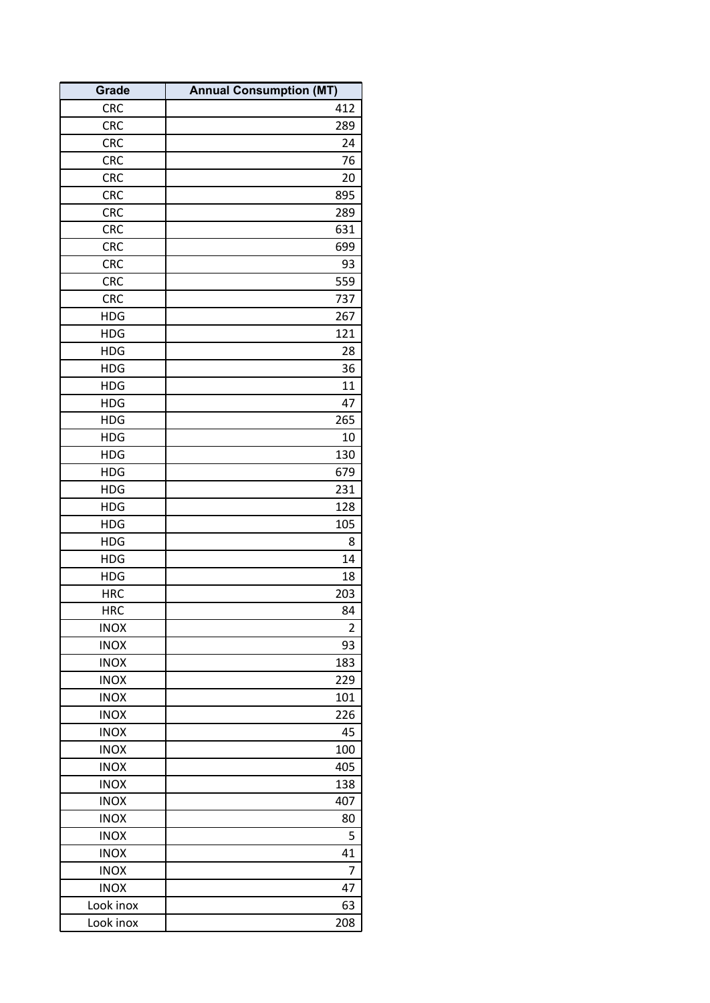| <b>Grade</b> | <b>Annual Consumption (MT)</b> |
|--------------|--------------------------------|
| <b>CRC</b>   | 412                            |
| <b>CRC</b>   | 289                            |
| <b>CRC</b>   | 24                             |
| <b>CRC</b>   | 76                             |
| <b>CRC</b>   | 20                             |
| CRC          | 895                            |
| <b>CRC</b>   | 289                            |
| CRC          | 631                            |
| <b>CRC</b>   | 699                            |
| <b>CRC</b>   | 93                             |
| <b>CRC</b>   | 559                            |
| <b>CRC</b>   | 737                            |
| <b>HDG</b>   | 267                            |
| <b>HDG</b>   | 121                            |
| <b>HDG</b>   | 28                             |
| <b>HDG</b>   | 36                             |
| <b>HDG</b>   | 11                             |
| <b>HDG</b>   | 47                             |
| <b>HDG</b>   | 265                            |
| <b>HDG</b>   | 10                             |
| <b>HDG</b>   | 130                            |
| <b>HDG</b>   | 679                            |
| <b>HDG</b>   | 231                            |
| <b>HDG</b>   | 128                            |
| <b>HDG</b>   | 105                            |
| <b>HDG</b>   | 8                              |
| <b>HDG</b>   | 14                             |
| <b>HDG</b>   | 18                             |
| <b>HRC</b>   | 203                            |
| <b>HRC</b>   | 84                             |
| <b>INOX</b>  | $\overline{2}$                 |
| <b>INOX</b>  | 93                             |
| <b>INOX</b>  | 183                            |
| <b>INOX</b>  | 229                            |
| <b>INOX</b>  | 101                            |
| <b>INOX</b>  | 226                            |
| <b>INOX</b>  | 45                             |
| <b>INOX</b>  | 100                            |
| <b>INOX</b>  | 405                            |
| <b>INOX</b>  | 138                            |
| <b>INOX</b>  | 407                            |
| <b>INOX</b>  | 80                             |
| <b>INOX</b>  | 5                              |
| <b>INOX</b>  | 41                             |
| <b>INOX</b>  | 7                              |
| <b>INOX</b>  | 47                             |
| Look inox    | 63                             |
| Look inox    | 208                            |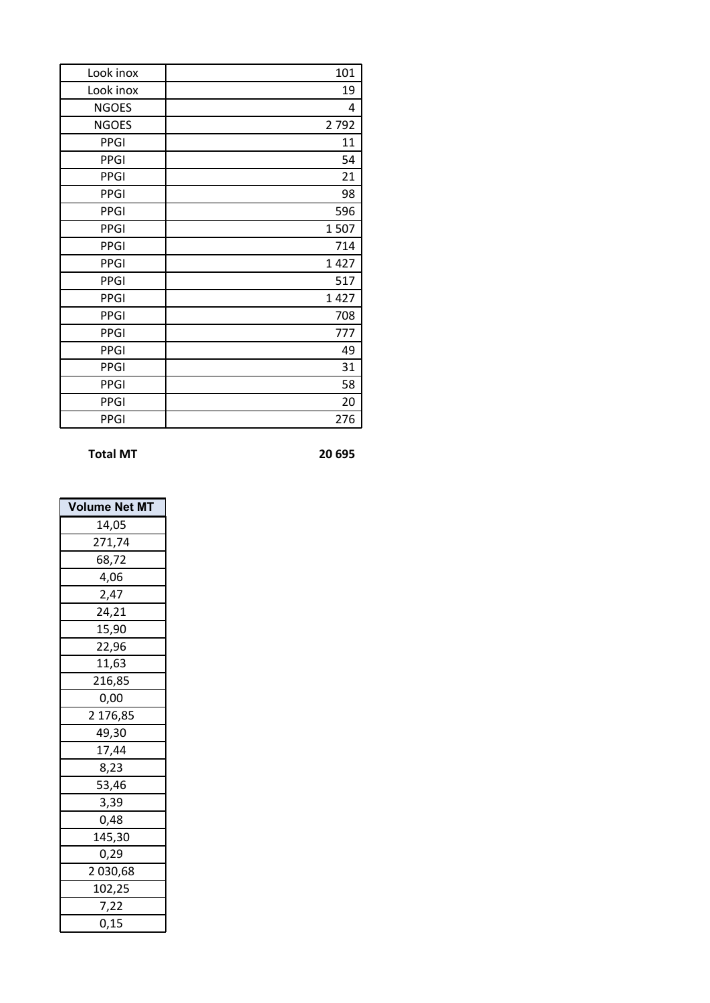| Look inox    | 101  |
|--------------|------|
| Look inox    | 19   |
| <b>NGOES</b> | 4    |
| <b>NGOES</b> | 2792 |
| <b>PPGI</b>  | 11   |
| <b>PPGI</b>  | 54   |
| <b>PPGI</b>  | 21   |
| <b>PPGI</b>  | 98   |
| <b>PPGI</b>  | 596  |
| <b>PPGI</b>  | 1507 |
| <b>PPGI</b>  | 714  |
| <b>PPGI</b>  | 1427 |
| <b>PPGI</b>  | 517  |
| <b>PPGI</b>  | 1427 |
| <b>PPGI</b>  | 708  |
| <b>PPGI</b>  | 777  |
| <b>PPGI</b>  | 49   |
| <b>PPGI</b>  | 31   |
| <b>PPGI</b>  | 58   |
| <b>PPGI</b>  | 20   |
| <b>PPGI</b>  | 276  |

**Total MT 20 695**

| Volume Net MT |
|---------------|
| 14,05         |
| 271,74        |
| 68,72         |
| 4,06          |
| 2,47          |
| 24,21         |
| 15,90         |
| 22,96         |
| 11,63         |
| 216,85        |
| 0,00          |
| 2 176,85      |
| 49,30         |
| 17,44         |
| 8,23          |
| 53,46         |
| 3,39          |
| 0,48          |
| 145,30        |
| 0,29          |
| 2 030,68      |
| 102,25        |
| 7,22          |
| 0,15          |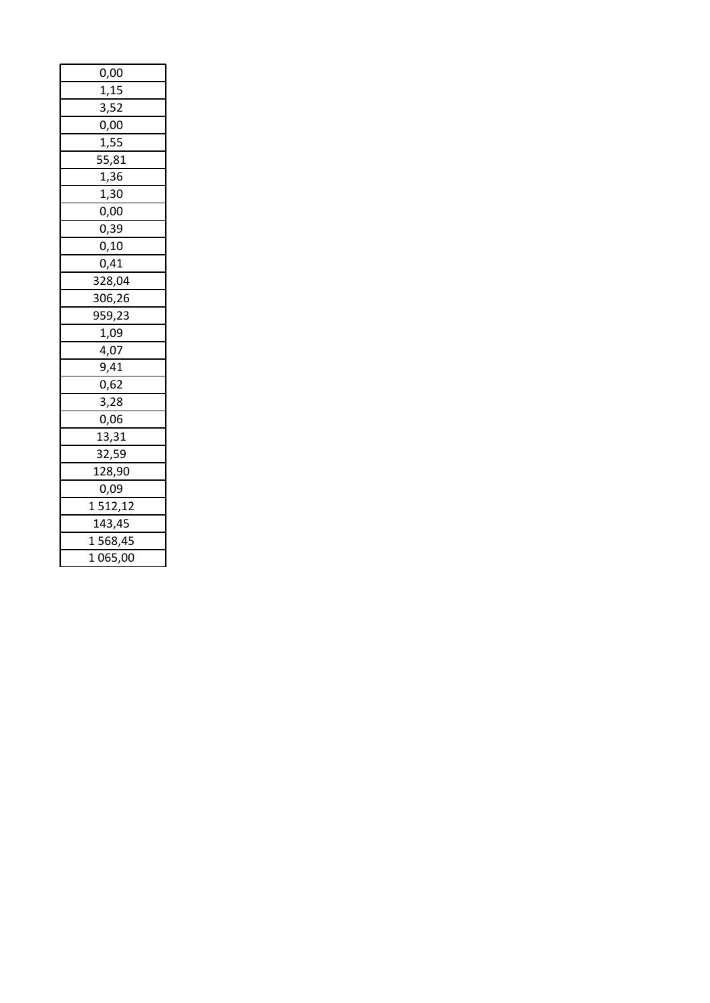| 0,00               |
|--------------------|
| 1,15               |
| 3,52               |
| 0,00               |
| 1,55               |
| $\overline{55,81}$ |
| 1,36               |
| 1,30               |
| 0,00               |
| 0,39               |
| 0,10               |
| 0,41               |
| 328,04             |
| 306,26             |
| 959,23             |
| 1,09               |
| $\frac{1}{4,07}$   |
| 9,41               |
| 0,62               |
| 3,28               |
| 0,06               |
| 13,31              |
| 32,59              |
| 128,90             |
| 0,09               |
| 1512,12            |
| 143,45             |
| 1568,45            |
| 1 065,00           |
|                    |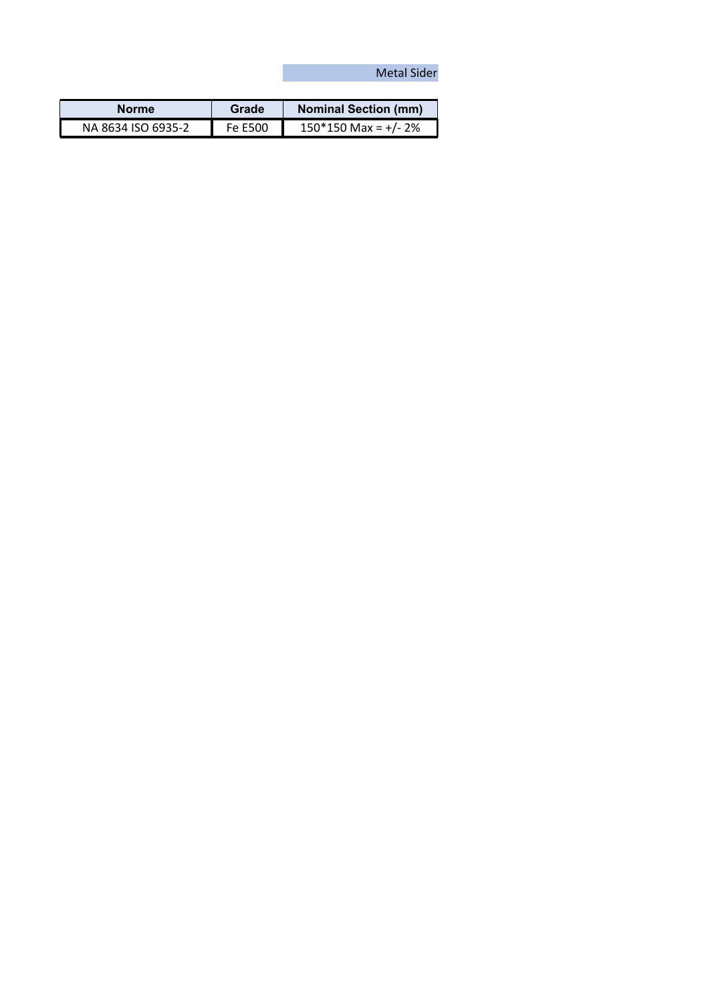## Metal Sider

| <b>Norme</b>       | Grade   | <b>Nominal Section (mm)</b> |
|--------------------|---------|-----------------------------|
| NA 8634 ISO 6935-2 | Fe E500 | $150*150$ Max = +/- 2%      |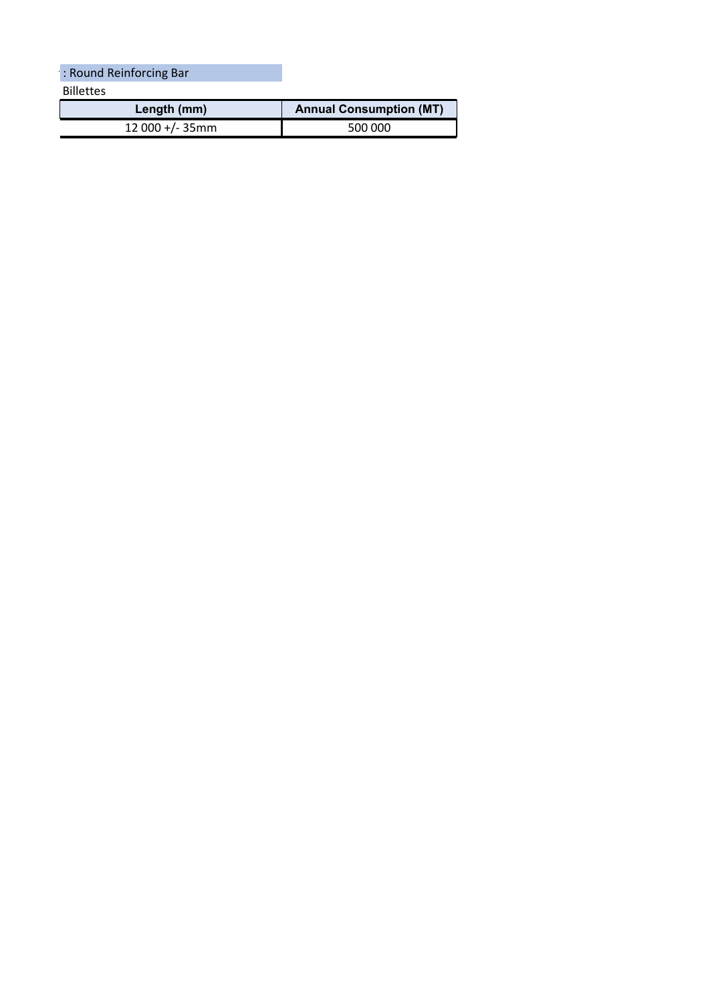Billettes **Length (mm) Annual Consumption (MT)** : Round Reinforcing Bar

12 000 +/- 35mm 500 000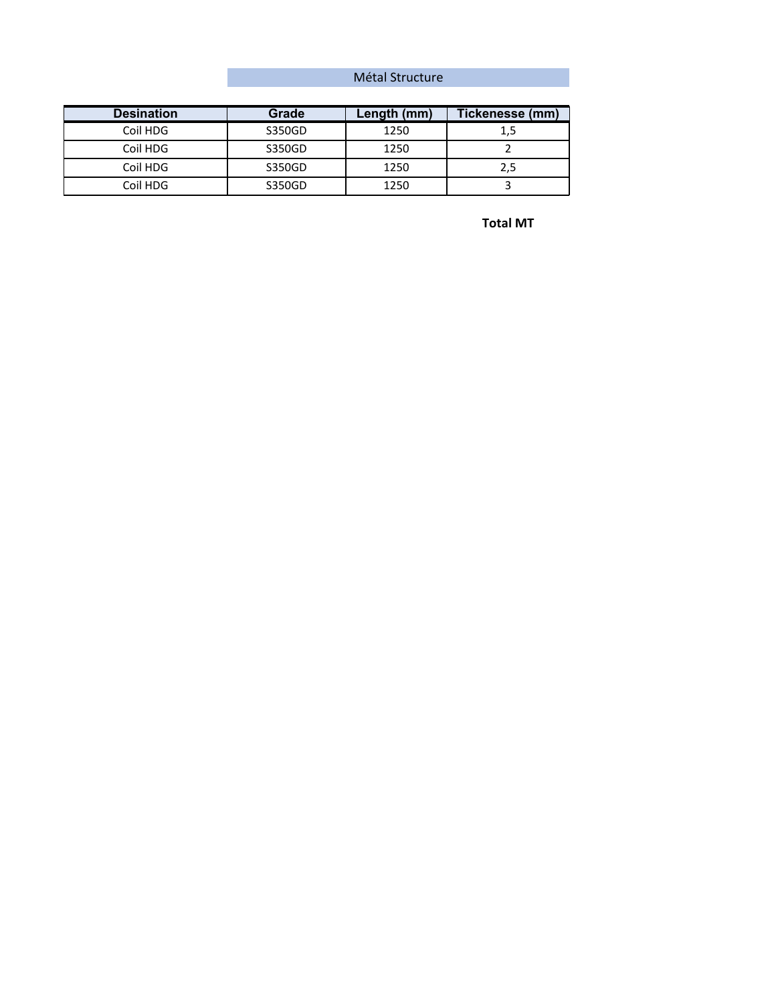## Métal Structure

| <b>Desination</b> | Grade  | Length (mm) | Tickenesse (mm) |
|-------------------|--------|-------------|-----------------|
| Coil HDG          | S350GD | 1250        | 1,5             |
| Coil HDG          | S350GD | 1250        |                 |
| Coil HDG          | S350GD | 1250        | 2,5             |
| Coil HDG          | S350GD | 1250        |                 |

**Total MT**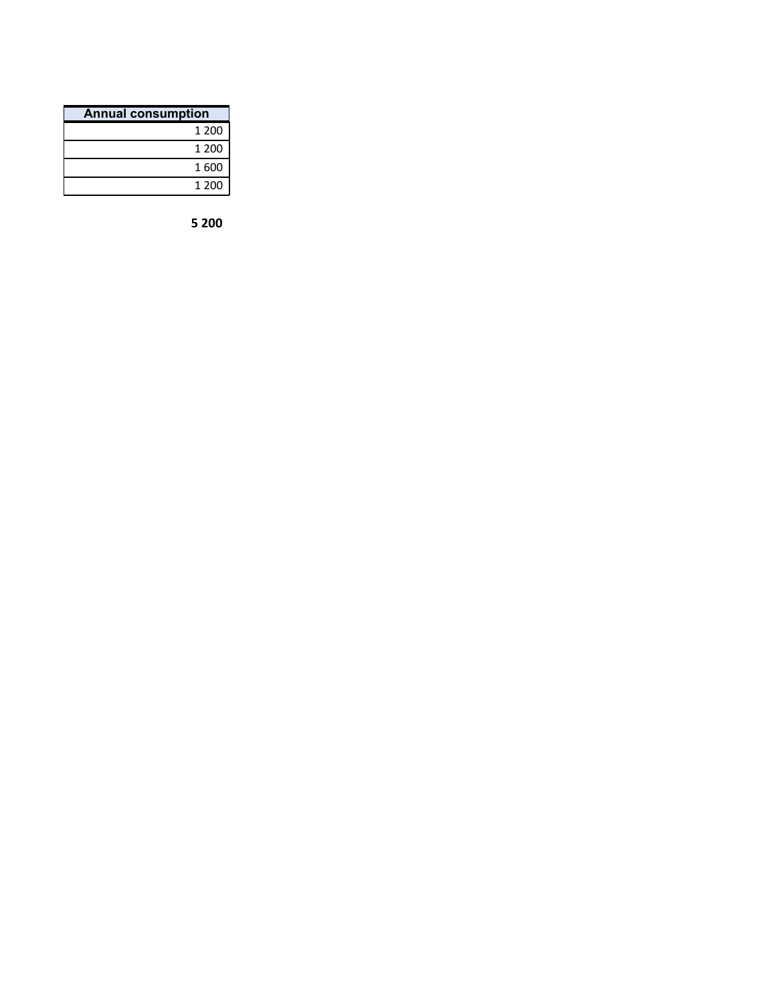| <b>Annual consumption</b> |       |  |
|---------------------------|-------|--|
|                           | 1 200 |  |
|                           | 1 200 |  |
|                           | 1600  |  |
|                           | 1 200 |  |

**200**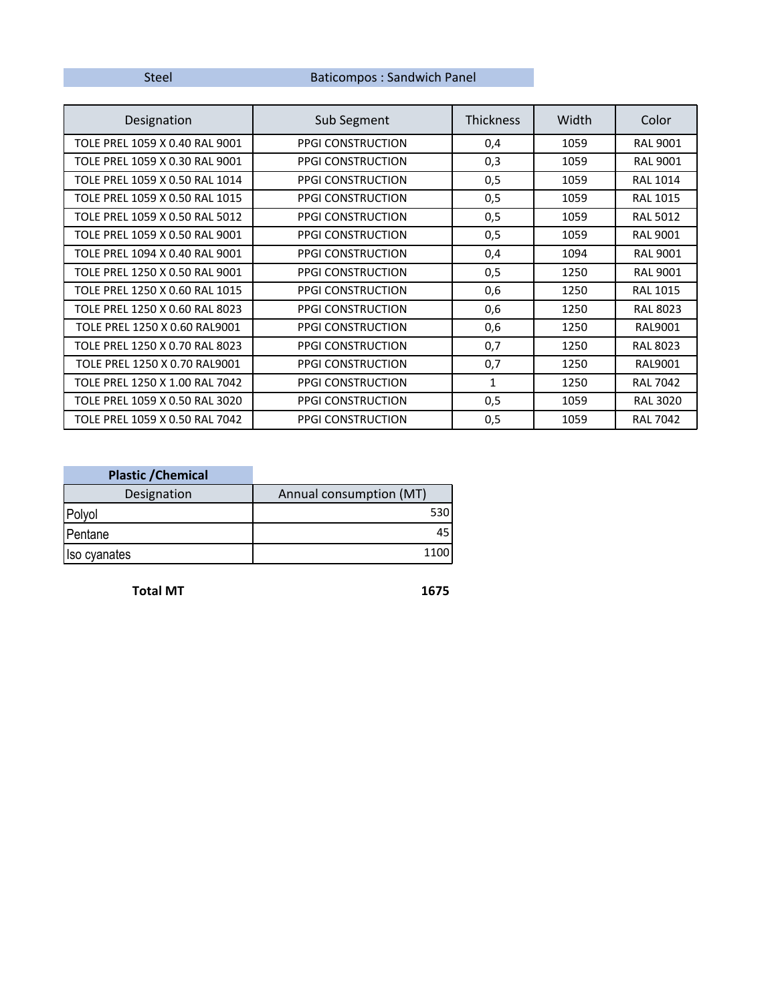## Steel Baticompos : Sandwich Panel

| Designation                    | Sub Segment              | Thickness | Width | Color           |
|--------------------------------|--------------------------|-----------|-------|-----------------|
| TOLE PREL 1059 X 0.40 RAL 9001 | PPGI CONSTRUCTION        | 0,4       | 1059  | <b>RAL 9001</b> |
| TOLE PREL 1059 X 0.30 RAL 9001 | <b>PPGI CONSTRUCTION</b> | 0,3       | 1059  | <b>RAL 9001</b> |
| TOLE PREL 1059 X 0.50 RAL 1014 | <b>PPGI CONSTRUCTION</b> | 0,5       | 1059  | <b>RAL 1014</b> |
| TOLE PREL 1059 X 0.50 RAL 1015 | <b>PPGI CONSTRUCTION</b> | 0,5       | 1059  | <b>RAL 1015</b> |
| TOLE PREL 1059 X 0.50 RAL 5012 | PPGI CONSTRUCTION        | 0,5       | 1059  | <b>RAL 5012</b> |
| TOLE PREL 1059 X 0.50 RAL 9001 | <b>PPGI CONSTRUCTION</b> | 0,5       | 1059  | <b>RAL 9001</b> |
| TOLE PREL 1094 X 0.40 RAL 9001 | PPGI CONSTRUCTION        | 0,4       | 1094  | <b>RAL 9001</b> |
| TOLE PREL 1250 X 0.50 RAL 9001 | <b>PPGI CONSTRUCTION</b> | 0,5       | 1250  | <b>RAL 9001</b> |
| TOLE PREL 1250 X 0.60 RAL 1015 | <b>PPGI CONSTRUCTION</b> | 0,6       | 1250  | <b>RAL 1015</b> |
| TOLE PREL 1250 X 0.60 RAL 8023 | <b>PPGI CONSTRUCTION</b> | 0,6       | 1250  | <b>RAL 8023</b> |
| TOLE PREL 1250 X 0.60 RAL9001  | <b>PPGI CONSTRUCTION</b> | 0,6       | 1250  | RAL9001         |
| TOLE PREL 1250 X 0.70 RAL 8023 | <b>PPGI CONSTRUCTION</b> | 0,7       | 1250  | <b>RAL 8023</b> |
| TOLE PREL 1250 X 0.70 RAL9001  | <b>PPGI CONSTRUCTION</b> | 0,7       | 1250  | RAL9001         |
| TOLE PREL 1250 X 1.00 RAL 7042 | <b>PPGI CONSTRUCTION</b> | 1         | 1250  | <b>RAL 7042</b> |
| TOLE PREL 1059 X 0.50 RAL 3020 | <b>PPGI CONSTRUCTION</b> | 0,5       | 1059  | <b>RAL 3020</b> |
| TOLE PREL 1059 X 0.50 RAL 7042 | <b>PPGI CONSTRUCTION</b> | 0,5       | 1059  | <b>RAL 7042</b> |

| <b>Plastic / Chemical</b> |                         |
|---------------------------|-------------------------|
| Designation               | Annual consumption (MT) |
| Polyol                    | 530                     |
| Pentane                   | 45                      |
| Iso cyanates              | 1100                    |

**Total MT 1675**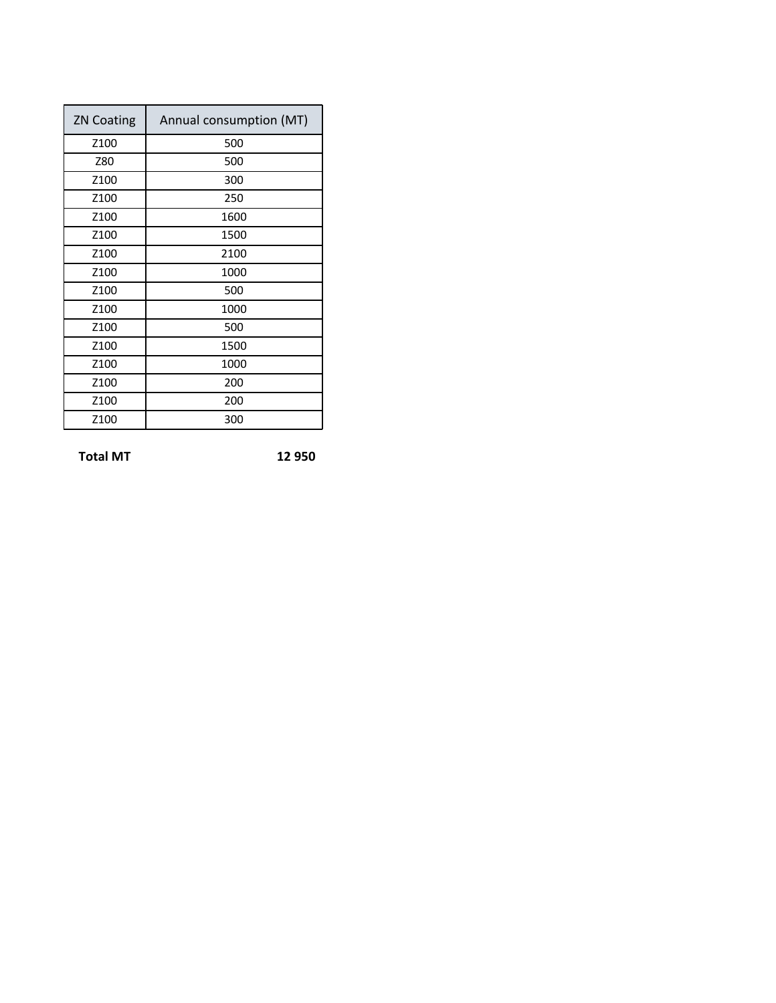| <b>ZN Coating</b> | Annual consumption (MT) |
|-------------------|-------------------------|
| Z <sub>100</sub>  | 500                     |
| Z80               | 500                     |
| Z100              | 300                     |
| Z100              | 250                     |
| Z <sub>100</sub>  | 1600                    |
| Z100              | 1500                    |
| Z100              | 2100                    |
| Z <sub>100</sub>  | 1000                    |
| Z100              | 500                     |
| Z <sub>100</sub>  | 1000                    |
| Z <sub>100</sub>  | 500                     |
| Z100              | 1500                    |
| Z <sub>100</sub>  | 1000                    |
| Z <sub>100</sub>  | 200                     |
| Z100              | 200                     |
| Z100              | 300                     |

**Total MT 12 950**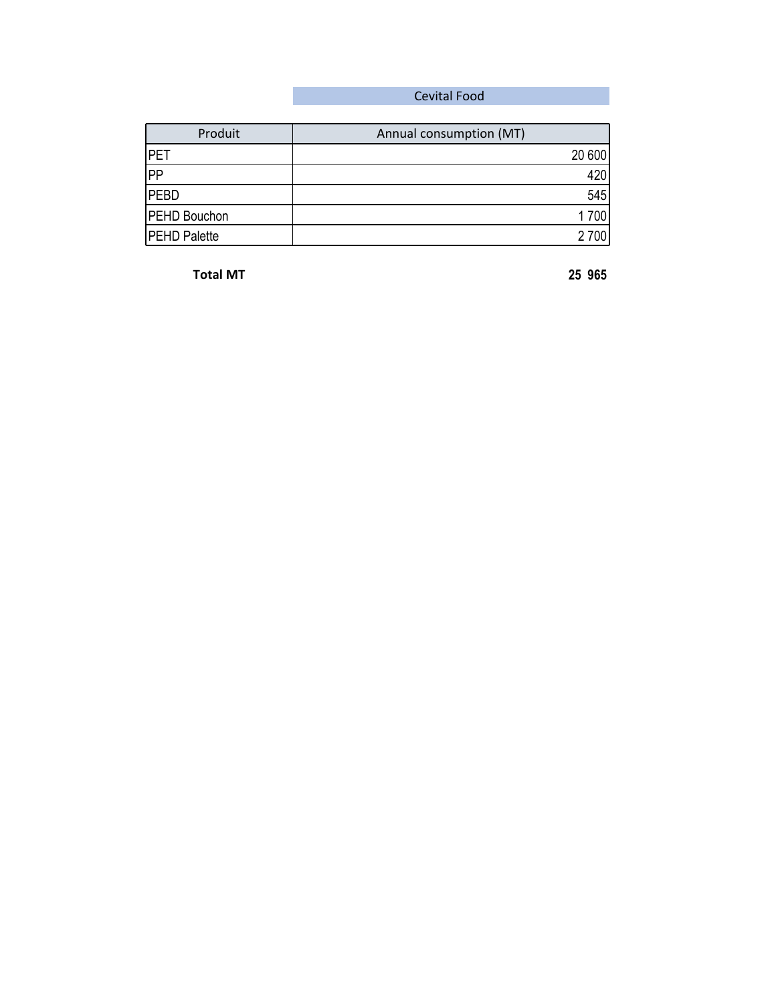## Cevital Food

| Produit             | Annual consumption (MT) |
|---------------------|-------------------------|
| <b>IPET</b>         | 20 600                  |
| PP                  | 420                     |
| <b>PEBD</b>         | 545                     |
| <b>PEHD Bouchon</b> | 1700                    |
| <b>PEHD Palette</b> | 2 700                   |

**Total MT 25 965**